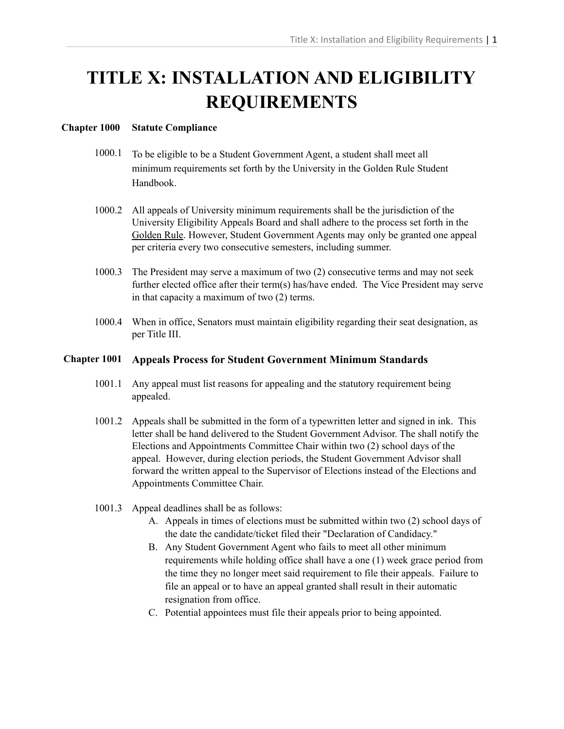# **TITLE X: INSTALLATION AND ELIGIBILITY REQUIREMENTS**

## **Chapter 1000 Statute Compliance**

- 1000.1 To be eligible to be a Student Government Agent, a student shall meet all minimum requirements set forth by the University in the Golden Rule Student Handbook.
- 1000.2 All appeals of University minimum requirements shall be the jurisdiction of the University Eligibility Appeals Board and shall adhere to the process set forth in the Golden Rule. However, Student Government Agents may only be granted one appeal per criteria every two consecutive semesters, including summer.
- 1000.3 The President may serve a maximum of two (2) consecutive terms and may not seek further elected office after their term(s) has/have ended. The Vice President may serve in that capacity a maximum of two (2) terms.
- 1000.4 When in office, Senators must maintain eligibility regarding their seat designation, as per Title III.

## **Chapter 1001 Appeals Process for Student Government Minimum Standards**

- 1001.1 Any appeal must list reasons for appealing and the statutory requirement being appealed.
- 1001.2 Appeals shall be submitted in the form of a typewritten letter and signed in ink. This letter shall be hand delivered to the Student Government Advisor. The shall notify the Elections and Appointments Committee Chair within two (2) school days of the appeal. However, during election periods, the Student Government Advisor shall forward the written appeal to the Supervisor of Elections instead of the Elections and Appointments Committee Chair.
- 1001.3 Appeal deadlines shall be as follows:
	- A. Appeals in times of elections must be submitted within two (2) school days of the date the candidate/ticket filed their "Declaration of Candidacy."
	- B. Any Student Government Agent who fails to meet all other minimum requirements while holding office shall have a one (1) week grace period from the time they no longer meet said requirement to file their appeals. Failure to file an appeal or to have an appeal granted shall result in their automatic resignation from office.
	- C. Potential appointees must file their appeals prior to being appointed.